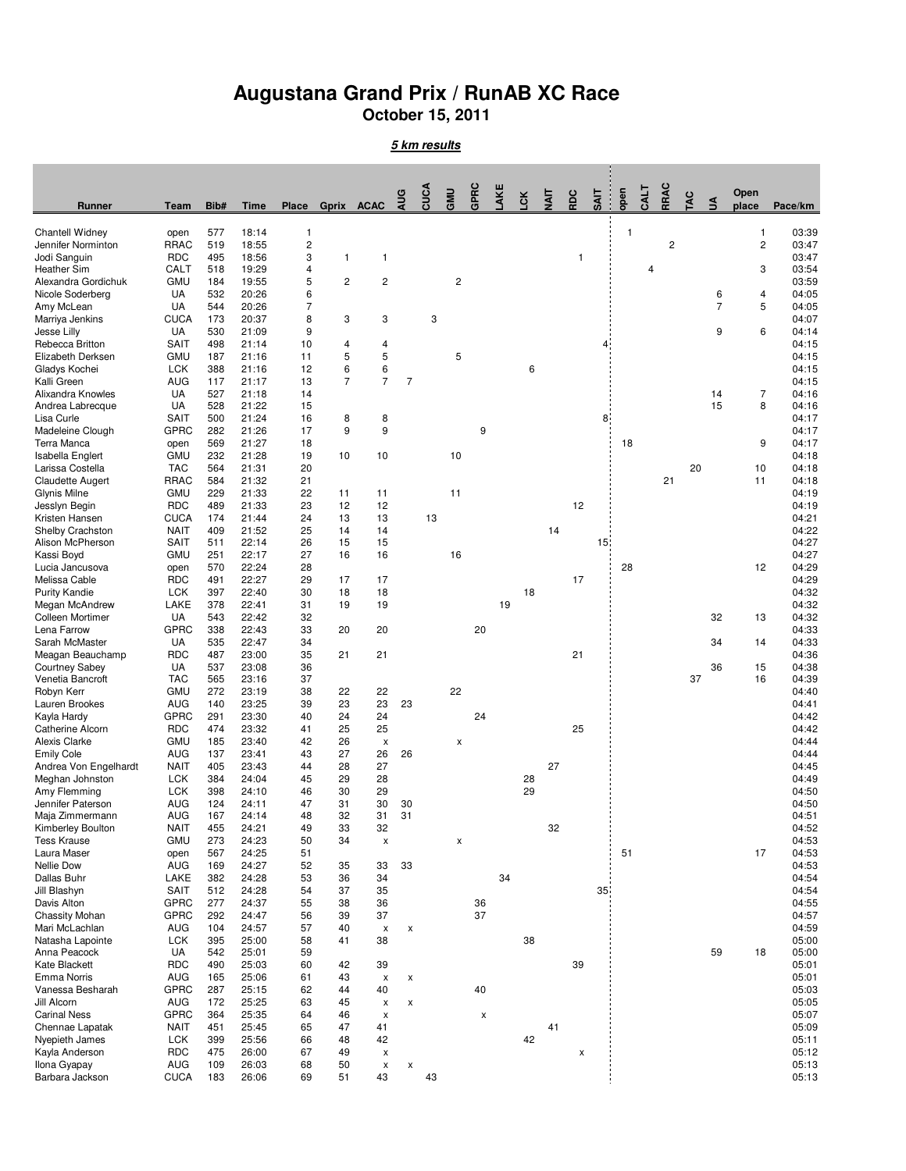## **Augustana Grand Prix / RunAB XC Race**

**October 15, 2011**

**5 km results**

| <b>Runner</b>                                | Team                      | Bib#       | <b>Time</b>    | <b>Place</b>                 | Gprix          | <b>ACAC</b>              | AUG            | CUCA | GMU                     | GPRC | LAKE | Γcκ | TI<br>N | <b>RDC</b> | <b>SAIT</b>     | open         | <b>CALT</b> | RRAC                    | <b>TAC</b> | £              | Open<br>place                | Pace/km        |
|----------------------------------------------|---------------------------|------------|----------------|------------------------------|----------------|--------------------------|----------------|------|-------------------------|------|------|-----|---------|------------|-----------------|--------------|-------------|-------------------------|------------|----------------|------------------------------|----------------|
|                                              |                           |            |                |                              |                |                          |                |      |                         |      |      |     |         |            |                 |              |             |                         |            |                |                              |                |
| <b>Chantell Widney</b><br>Jennifer Norminton | open<br><b>RRAC</b>       | 577<br>519 | 18:14<br>18:55 | 1<br>$\overline{\mathbf{c}}$ |                |                          |                |      |                         |      |      |     |         |            |                 | $\mathbf{1}$ |             | $\overline{\mathbf{c}}$ |            |                | 1<br>$\overline{\mathbf{c}}$ | 03:39<br>03:47 |
| Jodi Sanguin                                 | <b>RDC</b>                | 495        | 18:56          | 3                            | $\overline{1}$ | 1                        |                |      |                         |      |      |     |         | 1          |                 |              |             |                         |            |                |                              | 03:47          |
| <b>Heather Sim</b>                           | CALT                      | 518        | 19:29          | $\overline{4}$               |                |                          |                |      |                         |      |      |     |         |            |                 |              | 4           |                         |            |                | 3                            | 03:54          |
| Alexandra Gordichuk<br>Nicole Soderberg      | <b>GMU</b><br>UA          | 184<br>532 | 19:55<br>20:26 | 5<br>6                       | $\overline{c}$ | $\overline{c}$           |                |      | $\overline{\mathbf{c}}$ |      |      |     |         |            |                 |              |             |                         |            | 6              | 4                            | 03:59<br>04:05 |
| Amy McLean                                   | UA                        | 544        | 20:26          | 7                            |                |                          |                |      |                         |      |      |     |         |            |                 |              |             |                         |            | $\overline{7}$ | 5                            | 04:05          |
| Marriya Jenkins                              | <b>CUCA</b>               | 173        | 20:37          | 8                            | 3              | 3                        |                | 3    |                         |      |      |     |         |            |                 |              |             |                         |            |                |                              | 04:07          |
| Jesse Lilly                                  | UA                        | 530        | 21:09          | 9                            |                |                          |                |      |                         |      |      |     |         |            |                 |              |             |                         |            | 9              | 6                            | 04:14          |
| Rebecca Britton                              | SAIT                      | 498        | 21:14          | 10                           | 4              | 4                        |                |      |                         |      |      |     |         |            | 4               |              |             |                         |            |                |                              | 04:15          |
| Elizabeth Derksen<br>Gladys Kochei           | <b>GMU</b><br><b>LCK</b>  | 187<br>388 | 21:16<br>21:16 | 11<br>12                     | 5<br>6         | 5<br>6                   |                |      | 5                       |      |      | 6   |         |            |                 |              |             |                         |            |                |                              | 04:15<br>04:15 |
| Kalli Green                                  | <b>AUG</b>                | 117        | 21:17          | 13                           | 7              | $\overline{7}$           | $\overline{7}$ |      |                         |      |      |     |         |            |                 |              |             |                         |            |                |                              | 04:15          |
| Alixandra Knowles                            | UA                        | 527        | 21:18          | 14                           |                |                          |                |      |                         |      |      |     |         |            |                 |              |             |                         |            | 14             | 7                            | 04:16          |
| Andrea Labrecque                             | UA                        | 528        | 21:22          | 15                           |                |                          |                |      |                         |      |      |     |         |            |                 |              |             |                         |            | 15             | 8                            | 04:16          |
| Lisa Curle<br>Madeleine Clough               | SAIT<br>GPRC              | 500<br>282 | 21:24<br>21:26 | 16<br>17                     | 8<br>9         | 8<br>9                   |                |      |                         | 9    |      |     |         |            | 8               |              |             |                         |            |                |                              | 04:17<br>04:17 |
| Terra Manca                                  | open                      | 569        | 21:27          | 18                           |                |                          |                |      |                         |      |      |     |         |            |                 | 18           |             |                         |            |                | 9                            | 04:17          |
| Isabella Englert                             | GMU                       | 232        | 21:28          | 19                           | 10             | 10                       |                |      | 10                      |      |      |     |         |            |                 |              |             |                         |            |                |                              | 04:18          |
| Larissa Costella                             | <b>TAC</b>                | 564        | 21:31          | 20                           |                |                          |                |      |                         |      |      |     |         |            |                 |              |             |                         | 20         |                | 10                           | 04:18          |
| Claudette Augert<br>Glynis Milne             | <b>RRAC</b><br><b>GMU</b> | 584<br>229 | 21:32<br>21:33 | 21<br>22                     | 11             | 11                       |                |      | 11                      |      |      |     |         |            |                 |              |             | 21                      |            |                | 11                           | 04:18<br>04:19 |
| Jesslyn Begin                                | <b>RDC</b>                | 489        | 21:33          | 23                           | 12             | 12                       |                |      |                         |      |      |     |         | 12         |                 |              |             |                         |            |                |                              | 04:19          |
| Kristen Hansen                               | CUCA                      | 174        | 21:44          | 24                           | 13             | 13                       |                | 13   |                         |      |      |     |         |            |                 |              |             |                         |            |                |                              | 04:21          |
| <b>Shelby Crachston</b>                      | <b>NAIT</b>               | 409        | 21:52          | 25                           | 14             | 14                       |                |      |                         |      |      |     | 14      |            |                 |              |             |                         |            |                |                              | 04:22          |
| Alison McPherson                             | SAIT                      | 511        | 22:14          | 26                           | 15             | 15                       |                |      |                         |      |      |     |         |            | 15 <sup>°</sup> |              |             |                         |            |                |                              | 04:27          |
| Kassi Boyd<br>Lucia Jancusova                | GMU<br>open               | 251<br>570 | 22:17<br>22:24 | 27<br>28                     | 16             | 16                       |                |      | 16                      |      |      |     |         |            |                 | 28           |             |                         |            |                | 12                           | 04:27<br>04:29 |
| Melissa Cable                                | <b>RDC</b>                | 491        | 22:27          | 29                           | 17             | 17                       |                |      |                         |      |      |     |         | 17         |                 |              |             |                         |            |                |                              | 04:29          |
| <b>Purity Kandie</b>                         | <b>LCK</b>                | 397        | 22:40          | 30                           | 18             | 18                       |                |      |                         |      |      | 18  |         |            |                 |              |             |                         |            |                |                              | 04:32          |
| Megan McAndrew                               | LAKE                      | 378        | 22:41          | 31                           | 19             | 19                       |                |      |                         |      | 19   |     |         |            |                 |              |             |                         |            |                |                              | 04:32          |
| Colleen Mortimer<br>Lena Farrow              | UA<br><b>GPRC</b>         | 543<br>338 | 22:42<br>22:43 | 32<br>33                     | 20             | 20                       |                |      |                         | 20   |      |     |         |            |                 |              |             |                         |            | 32             | 13                           | 04:32<br>04:33 |
| Sarah McMaster                               | UA                        | 535        | 22:47          | 34                           |                |                          |                |      |                         |      |      |     |         |            |                 |              |             |                         |            | 34             | 14                           | 04:33          |
| Meagan Beauchamp                             | <b>RDC</b>                | 487        | 23:00          | 35                           | 21             | 21                       |                |      |                         |      |      |     |         | 21         |                 |              |             |                         |            |                |                              | 04:36          |
| <b>Courtney Sabey</b>                        | UA                        | 537        | 23:08          | 36                           |                |                          |                |      |                         |      |      |     |         |            |                 |              |             |                         |            | 36             | 15                           | 04:38          |
| Venetia Bancroft                             | <b>TAC</b>                | 565        | 23:16          | 37                           |                |                          |                |      |                         |      |      |     |         |            |                 |              |             |                         | 37         |                | 16                           | 04:39          |
| Robyn Kerr<br>Lauren Brookes                 | <b>GMU</b><br>AUG         | 272<br>140 | 23:19<br>23:25 | 38<br>39                     | 22<br>23       | 22<br>23                 | 23             |      | 22                      |      |      |     |         |            |                 |              |             |                         |            |                |                              | 04:40<br>04:41 |
| Kayla Hardy                                  | GPRC                      | 291        | 23:30          | 40                           | 24             | 24                       |                |      |                         | 24   |      |     |         |            |                 |              |             |                         |            |                |                              | 04:42          |
| <b>Catherine Alcorn</b>                      | <b>RDC</b>                | 474        | 23:32          | 41                           | 25             | 25                       |                |      |                         |      |      |     |         | 25         |                 |              |             |                         |            |                |                              | 04:42          |
| <b>Alexis Clarke</b>                         | <b>GMU</b>                | 185        | 23:40          | 42                           | 26             | X                        |                |      | x                       |      |      |     |         |            |                 |              |             |                         |            |                |                              | 04:44          |
| <b>Emily Cole</b><br>Andrea Von Engelhardt   | AUG<br><b>NAIT</b>        | 137<br>405 | 23:41<br>23:43 | 43<br>44                     | 27<br>28       | 26<br>27                 | 26             |      |                         |      |      |     | 27      |            |                 |              |             |                         |            |                |                              | 04:44<br>04:45 |
| Meghan Johnston                              | <b>LCK</b>                | 384        | 24:04          | 45                           | 29             | 28                       |                |      |                         |      |      | 28  |         |            |                 |              |             |                         |            |                |                              | 04:49          |
| Amy Flemming                                 | <b>LCK</b>                | 398        | 24:10          | 46                           | 30             | 29                       |                |      |                         |      |      | 29  |         |            |                 |              |             |                         |            |                |                              | 04:50          |
| Jennifer Paterson                            | <b>AUG</b>                | 124        | 24:11          | 47                           | 31             | 30                       | 30             |      |                         |      |      |     |         |            |                 |              |             |                         |            |                |                              | 04:50          |
| Maja Zimmermann                              | AUG                       | 167        | 24:14          | 48                           | 32             | 31                       | 31             |      |                         |      |      |     |         |            |                 |              |             |                         |            |                |                              | 04:51          |
| Kimberley Boulton<br><b>Tess Krause</b>      | <b>NAIT</b><br><b>GMU</b> | 455<br>273 | 24:21<br>24:23 | 49<br>50                     | 33<br>34       | 32<br>x                  |                |      | x                       |      |      |     | 32      |            |                 |              |             |                         |            |                |                              | 04:52<br>04:53 |
| Laura Maser                                  | open                      | 567        | 24:25          | 51                           |                |                          |                |      |                         |      |      |     |         |            |                 | 51           |             |                         |            |                | 17                           | 04:53          |
| <b>Nellie Dow</b>                            | AUG                       | 169        | 24:27          | 52                           | 35             | 33                       | 33             |      |                         |      |      |     |         |            |                 |              |             |                         |            |                |                              | 04:53          |
| Dallas Buhr                                  | LAKE                      | 382        | 24:28          | 53                           | 36             | 34                       |                |      |                         |      | 34   |     |         |            |                 |              |             |                         |            |                |                              | 04:54          |
| Jill Blashyn<br>Davis Alton                  | <b>SAIT</b><br>GPRC       | 512<br>277 | 24:28<br>24:37 | 54<br>55                     | 37<br>38       | 35<br>36                 |                |      |                         | 36   |      |     |         |            | 35              |              |             |                         |            |                |                              | 04:54<br>04:55 |
| <b>Chassity Mohan</b>                        | <b>GPRC</b>               | 292        | 24:47          | 56                           | 39             | 37                       |                |      |                         | 37   |      |     |         |            |                 |              |             |                         |            |                |                              | 04:57          |
| Mari McLachlan                               | AUG                       | 104        | 24:57          | 57                           | 40             | x                        | $\pmb{\times}$ |      |                         |      |      |     |         |            |                 |              |             |                         |            |                |                              | 04:59          |
| Natasha Lapointe                             | <b>LCK</b>                | 395        | 25:00          | 58                           | 41             | 38                       |                |      |                         |      |      | 38  |         |            |                 |              |             |                         |            |                |                              | 05:00          |
| Anna Peacock                                 | UA                        | 542        | 25:01          | 59                           |                |                          |                |      |                         |      |      |     |         |            |                 |              |             |                         |            | 59             | 18                           | 05:00          |
| <b>Kate Blackett</b><br><b>Emma Norris</b>   | <b>RDC</b><br>AUG         | 490<br>165 | 25:03<br>25:06 | 60<br>61                     | 42<br>43       | 39<br>$\pmb{\mathsf{x}}$ | X              |      |                         |      |      |     |         | 39         |                 |              |             |                         |            |                |                              | 05:01<br>05:01 |
| Vanessa Besharah                             | <b>GPRC</b>               | 287        | 25:15          | 62                           | 44             | 40                       |                |      |                         | 40   |      |     |         |            |                 |              |             |                         |            |                |                              | 05:03          |
| Jill Alcorn                                  | <b>AUG</b>                | 172        | 25:25          | 63                           | 45             | x                        | X              |      |                         |      |      |     |         |            |                 |              |             |                         |            |                |                              | 05:05          |
| <b>Carinal Ness</b>                          | <b>GPRC</b>               | 364        | 25:35          | 64                           | 46             | x                        |                |      |                         | x    |      |     |         |            |                 |              |             |                         |            |                |                              | 05:07          |
| Chennae Lapatak                              | <b>NAIT</b>               | 451        | 25:45          | 65                           | 47             | 41                       |                |      |                         |      |      |     | 41      |            |                 |              |             |                         |            |                |                              | 05:09          |
| Nyepieth James<br>Kayla Anderson             | <b>LCK</b><br><b>RDC</b>  | 399<br>475 | 25:56<br>26:00 | 66<br>67                     | 48<br>49       | 42<br>x                  |                |      |                         |      |      | 42  |         | X          |                 |              |             |                         |            |                |                              | 05:11<br>05:12 |
| Ilona Gyapay                                 | AUG                       | 109        | 26:03          | 68                           | 50             | $\pmb{\mathsf{x}}$       | X              |      |                         |      |      |     |         |            |                 |              |             |                         |            |                |                              | 05:13          |
| Barbara Jackson                              | <b>CUCA</b>               | 183        | 26:06          | 69                           | 51             | 43                       |                | 43   |                         |      |      |     |         |            |                 |              |             |                         |            |                |                              | 05:13          |